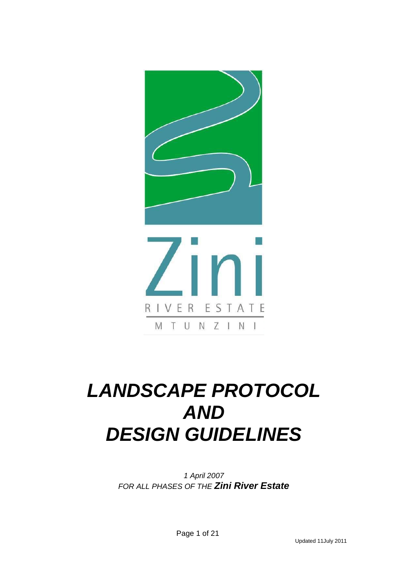

# *LANDSCAPE PROTOCOL AND DESIGN GUIDELINES*

*1 April 2007 FOR ALL PHASES OF THE Zini River Estate*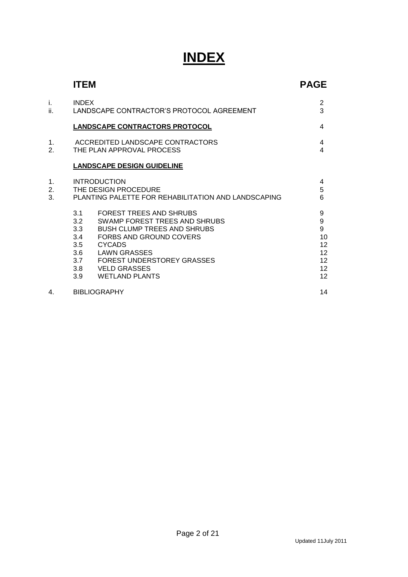# **INDEX**

|                        | <b>ITEM</b>                                                                                                                                                                                                                                                                                          | <b>PAGE</b>                                                    |
|------------------------|------------------------------------------------------------------------------------------------------------------------------------------------------------------------------------------------------------------------------------------------------------------------------------------------------|----------------------------------------------------------------|
| i.<br>ii.              | <b>INDEX</b><br>LANDSCAPE CONTRACTOR'S PROTOCOL AGREEMENT                                                                                                                                                                                                                                            | 2<br>3                                                         |
|                        | <b>LANDSCAPE CONTRACTORS PROTOCOL</b>                                                                                                                                                                                                                                                                | 4                                                              |
| 1.<br>$\overline{2}$ . | ACCREDITED LANDSCAPE CONTRACTORS<br>THE PLAN APPROVAL PROCESS                                                                                                                                                                                                                                        | 4<br>4                                                         |
|                        | <b>LANDSCAPE DESIGN GUIDELINE</b>                                                                                                                                                                                                                                                                    |                                                                |
| 1.<br>2.<br>3.         | <b>INTRODUCTION</b><br>THE DESIGN PROCEDURE<br>PLANTING PALETTE FOR REHABILITATION AND LANDSCAPING                                                                                                                                                                                                   | 4<br>5<br>6                                                    |
|                        | FOREST TREES AND SHRUBS<br>3.1<br>SWAMP FOREST TREES AND SHRUBS<br>3.2<br>3.3<br><b>BUSH CLUMP TREES AND SHRUBS</b><br>3.4<br>FORBS AND GROUND COVERS<br><b>CYCADS</b><br>3.5<br>3.6<br>LAWN GRASSES<br>3.7<br><b>FOREST UNDERSTOREY GRASSES</b><br>3.8 VELD GRASSES<br>3.9<br><b>WETLAND PLANTS</b> | 9<br>$\boldsymbol{9}$<br>9<br>10<br>12<br>12<br>12<br>12<br>12 |
| 4.                     | <b>BIBLIOGRAPHY</b>                                                                                                                                                                                                                                                                                  | 14                                                             |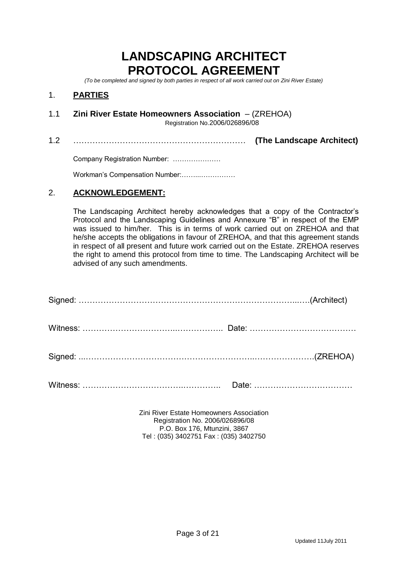# **LANDSCAPING ARCHITECT PROTOCOL AGREEMENT**

*(To be completed and signed by both parties in respect of all work carried out on Zini River Estate)*

# 1. **PARTIES**

1.1 **Zini River Estate Homeowners Association** – (ZREHOA)

Registration No.2006/026896/08

1.2 ……………………………………………………… **(The Landscape Architect)**

Company Registration Number: …………………

Workman's Compensation Number:……...……………

# 2. **ACKNOWLEDGEMENT:**

The Landscaping Architect hereby acknowledges that a copy of the Contractor's Protocol and the Landscaping Guidelines and Annexure "B" in respect of the EMP was issued to him/her. This is in terms of work carried out on ZREHOA and that he/she accepts the obligations in favour of ZREHOA, and that this agreement stands in respect of all present and future work carried out on the Estate. ZREHOA reserves the right to amend this protocol from time to time. The Landscaping Architect will be advised of any such amendments.

Zini River Estate Homeowners Association Registration No. 2006/026896/08 P.O. Box 176, Mtunzini, 3867 Tel : (035) 3402751 Fax : (035) 3402750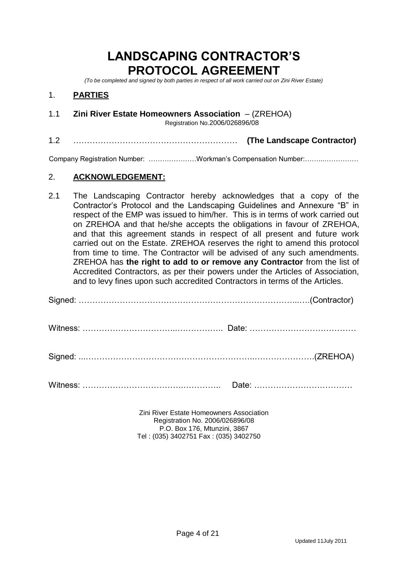# **LANDSCAPING CONTRACTOR'S PROTOCOL AGREEMENT**

*(To be completed and signed by both parties in respect of all work carried out on Zini River Estate)*

# 1. **PARTIES**

1.1 **Zini River Estate Homeowners Association** – (ZREHOA)

Registration No.2006/026896/08

1.2 …………………………………………………… **(The Landscape Contractor)**

Company Registration Number: …………………Workman's Compensation Number:……...……………

# 2. **ACKNOWLEDGEMENT:**

2.1 The Landscaping Contractor hereby acknowledges that a copy of the Contractor's Protocol and the Landscaping Guidelines and Annexure "B" in respect of the EMP was issued to him/her. This is in terms of work carried out on ZREHOA and that he/she accepts the obligations in favour of ZREHOA, and that this agreement stands in respect of all present and future work carried out on the Estate. ZREHOA reserves the right to amend this protocol from time to time. The Contractor will be advised of any such amendments. ZREHOA has **the right to add to or remove any Contractor** from the list of Accredited Contractors, as per their powers under the Articles of Association, and to levy fines upon such accredited Contractors in terms of the Articles.

| Zini River Estate Homeowners Association<br>Pogietration No. 2006/026206/02 |  |
|-----------------------------------------------------------------------------|--|

Registration No. 2006/026896/08 P.O. Box 176, Mtunzini, 3867 Tel : (035) 3402751 Fax : (035) 3402750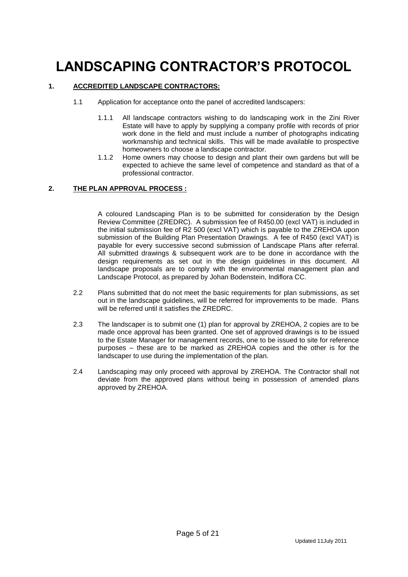# **LANDSCAPING CONTRACTOR'S PROTOCOL**

### **1. ACCREDITED LANDSCAPE CONTRACTORS:**

- 1.1 Application for acceptance onto the panel of accredited landscapers:
	- 1.1.1 All landscape contractors wishing to do landscaping work in the Zini River Estate will have to apply by supplying a company profile with records of prior work done in the field and must include a number of photographs indicating workmanship and technical skills. This will be made available to prospective homeowners to choose a landscape contractor.
	- 1.1.2 Home owners may choose to design and plant their own gardens but will be expected to achieve the same level of competence and standard as that of a professional contractor.

### **2. THE PLAN APPROVAL PROCESS :**

A coloured Landscaping Plan is to be submitted for consideration by the Design Review Committee (ZREDRC). A submission fee of R450.00 (excl VAT) is included in the initial submission fee of R2 500 (excl VAT) which is payable to the ZREHOA upon submission of the Building Plan Presentation Drawings. A fee of R450 (excl VAT) is payable for every successive second submission of Landscape Plans after referral. All submitted drawings & subsequent work are to be done in accordance with the design requirements as set out in the design guidelines in this document. All landscape proposals are to comply with the environmental management plan and Landscape Protocol, as prepared by Johan Bodenstein, Indiflora CC.

- 2.2 Plans submitted that do not meet the basic requirements for plan submissions, as set out in the landscape guidelines, will be referred for improvements to be made. Plans will be referred until it satisfies the ZREDRC.
- 2.3 The landscaper is to submit one (1) plan for approval by ZREHOA, 2 copies are to be made once approval has been granted. One set of approved drawings is to be issued to the Estate Manager for management records, one to be issued to site for reference purposes – these are to be marked as ZREHOA copies and the other is for the landscaper to use during the implementation of the plan.
- 2.4 Landscaping may only proceed with approval by ZREHOA. The Contractor shall not deviate from the approved plans without being in possession of amended plans approved by ZREHOA.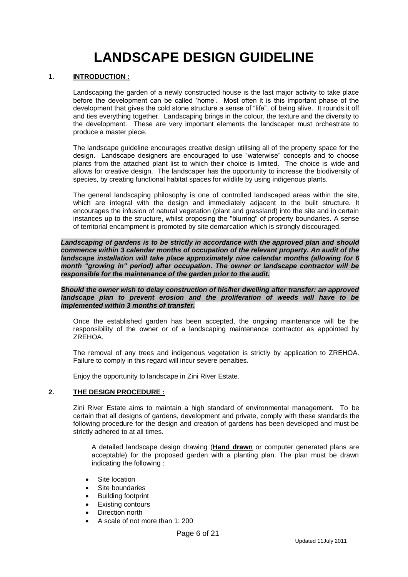# **LANDSCAPE DESIGN GUIDELINE**

#### **1. INTRODUCTION :**

Landscaping the garden of a newly constructed house is the last major activity to take place before the development can be called 'home'. Most often it is this important phase of the development that gives the cold stone structure a sense of "life", of being alive. It rounds it off and ties everything together. Landscaping brings in the colour, the texture and the diversity to the development. These are very important elements the landscaper must orchestrate to produce a master piece.

The landscape guideline encourages creative design utilising all of the property space for the design. Landscape designers are encouraged to use "waterwise" concepts and to choose plants from the attached plant list to which their choice is limited. The choice is wide and allows for creative design. The landscaper has the opportunity to increase the biodiversity of species, by creating functional habitat spaces for wildlife by using indigenous plants.

The general landscaping philosophy is one of controlled landscaped areas within the site, which are integral with the design and immediately adjacent to the built structure. It encourages the infusion of natural vegetation (plant and grassland) into the site and in certain instances up to the structure, whilst proposing the "blurring" of property boundaries. A sense of territorial encampment is promoted by site demarcation which is strongly discouraged.

*Landscaping of gardens is to be strictly in accordance with the approved plan and should commence within 3 calendar months of occupation of the relevant property. An audit of the landscape installation will take place approximately nine calendar months (allowing for 6 month "growing in" period) after occupation. The owner or landscape contractor will be responsible for the maintenance of the garden prior to the audit.*

*Should the owner wish to delay construction of his/her dwelling after transfer: an approved*  landscape plan to prevent erosion and the proliferation of weeds will have to be *implemented within 3 months of transfer.*

Once the established garden has been accepted, the ongoing maintenance will be the responsibility of the owner or of a landscaping maintenance contractor as appointed by ZREHOA.

The removal of any trees and indigenous vegetation is strictly by application to ZREHOA. Failure to comply in this regard will incur severe penalties.

Enjoy the opportunity to landscape in Zini River Estate.

#### **2. THE DESIGN PROCEDURE :**

Zini River Estate aims to maintain a high standard of environmental management. To be certain that all designs of gardens, development and private, comply with these standards the following procedure for the design and creation of gardens has been developed and must be strictly adhered to at all times.

A detailed landscape design drawing (**Hand drawn** or computer generated plans are acceptable) for the proposed garden with a planting plan. The plan must be drawn indicating the following :

- Site location
- Site boundaries
- Building footprint
- Existing contours
- Direction north
- A scale of not more than 1: 200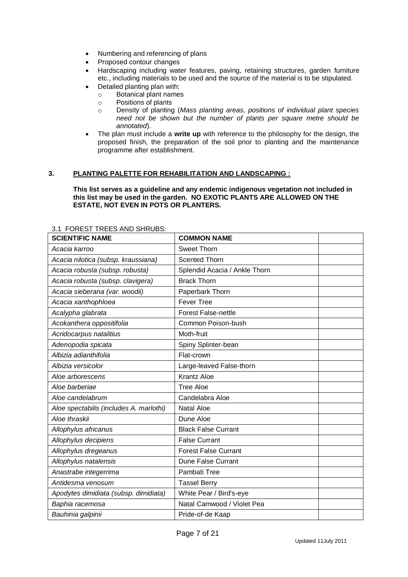- Numbering and referencing of plans
- Proposed contour changes
- Hardscaping including water features, paving, retaining structures, garden furniture etc., including materials to be used and the source of the material is to be stipulated.
- Detailed planting plan with:
	- o Botanical plant names
	- o Positions of plants
	- o Density of planting (*Mass planting areas, positions of individual plant species need not be shown but the number of plants per square metre should be annotated*).
- The plan must include a **write up** with reference to the philosophy for the design, the proposed finish, the preparation of the soil prior to planting and the maintenance programme after establishment.

#### **3. PLANTING PALETTE FOR REHABILITATION AND LANDSCAPING :**

**This list serves as a guideline and any endemic indigenous vegetation not included in this list may be used in the garden. NO EXOTIC PLANTS ARE ALLOWED ON THE ESTATE, NOT EVEN IN POTS OR PLANTERS.**

| <b>SCIENTIFIC NAME</b>                  | <b>COMMON NAME</b>            |
|-----------------------------------------|-------------------------------|
| Acacia karroo                           | Sweet Thorn                   |
| Acacia nilotica (subsp. kraussiana)     | <b>Scented Thorn</b>          |
| Acacia robusta (subsp. robusta)         | Splendid Acacia / Ankle Thorn |
| Acacia robusta (subsp. clavigera)       | <b>Brack Thorn</b>            |
| Acacia sieberana (var. woodii)          | Paperbark Thorn               |
| Acacia xanthophloea                     | <b>Fever Tree</b>             |
| Acalypha glabrata                       | <b>Forest False-nettle</b>    |
| Acokanthera oppositifolia               | Common Poison-bush            |
| Acridocarpus natalitius                 | Moth-fruit                    |
| Adenopodia spicata                      | Spiny Splinter-bean           |
| Albizia adianthifolia                   | Flat-crown                    |
| Albizia versicolor                      | Large-leaved False-thorn      |
| Aloe arborescens                        | <b>Krantz Aloe</b>            |
| Aloe barberiae                          | <b>Tree Aloe</b>              |
| Aloe candelabrum                        | Candelabra Aloe               |
| Aloe spectabilis (includes A. marlothi) | Natal Aloe                    |
| Aloe thraskii                           | Dune Aloe                     |
| Allophylus africanus                    | <b>Black False Currant</b>    |
| Allophylus decipiens                    | <b>False Currant</b>          |
| Allophylus dregeanus                    | <b>Forest False Currant</b>   |
| Allophylus natalensis                   | <b>Dune False Currant</b>     |
| Anastrabe integerrima                   | Pambati Tree                  |
| Antidesma venosum                       | <b>Tassel Berry</b>           |
| Apodytes dimidiata (subsp. dimidiata)   | White Pear / Bird's-eye       |
| Baphia racemosa                         | Natal Camwood / Violet Pea    |
| Bauhinia galpinii                       | Pride-of-de Kaap              |

#### 3.1 FOREST TREES AND SHRUBS: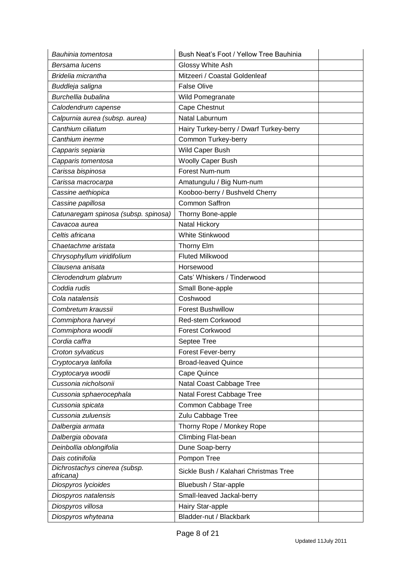| Bauhinia tomentosa                         | Bush Neat's Foot / Yellow Tree Bauhinia |  |
|--------------------------------------------|-----------------------------------------|--|
| Bersama lucens                             | Glossy White Ash                        |  |
| Bridelia micrantha                         | Mitzeeri / Coastal Goldenleaf           |  |
| Buddleja saligna                           | <b>False Olive</b>                      |  |
| Burchellia bubalina                        | Wild Pomegranate                        |  |
| Calodendrum capense                        | Cape Chestnut                           |  |
| Calpurnia aurea (subsp. aurea)             | Natal Laburnum                          |  |
| Canthium ciliatum                          | Hairy Turkey-berry / Dwarf Turkey-berry |  |
| Canthium inerme                            | Common Turkey-berry                     |  |
| Capparis sepiaria                          | Wild Caper Bush                         |  |
| Capparis tomentosa                         | Woolly Caper Bush                       |  |
| Carissa bispinosa                          | Forest Num-num                          |  |
| Carissa macrocarpa                         | Amatungulu / Big Num-num                |  |
| Cassine aethiopica                         | Kooboo-berry / Bushveld Cherry          |  |
| Cassine papillosa                          | <b>Common Saffron</b>                   |  |
| Catunaregam spinosa (subsp. spinosa)       | Thorny Bone-apple                       |  |
| Cavacoa aurea                              | Natal Hickory                           |  |
| Celtis africana                            | White Stinkwood                         |  |
| Chaetachme aristata                        | Thorny Elm                              |  |
| Chrysophyllum viridifolium                 | <b>Fluted Milkwood</b>                  |  |
| Clausena anisata                           | Horsewood                               |  |
| Clerodendrum glabrum                       | Cats' Whiskers / Tinderwood             |  |
| Coddia rudis                               | Small Bone-apple                        |  |
| Cola natalensis                            | Coshwood                                |  |
| Combretum kraussii                         | <b>Forest Bushwillow</b>                |  |
| Commiphora harveyi                         | Red-stem Corkwood                       |  |
| Commiphora woodii                          | <b>Forest Corkwood</b>                  |  |
| Cordia caffra                              | Septee Tree                             |  |
| Croton sylvaticus                          | Forest Fever-berry                      |  |
| Cryptocarya latifolia                      | <b>Broad-leaved Quince</b>              |  |
| Cryptocarya woodii                         | Cape Quince                             |  |
| Cussonia nicholsonii                       | Natal Coast Cabbage Tree                |  |
| Cussonia sphaerocephala                    | Natal Forest Cabbage Tree               |  |
| Cussonia spicata                           | Common Cabbage Tree                     |  |
| Cussonia zuluensis                         | Zulu Cabbage Tree                       |  |
| Dalbergia armata                           | Thorny Rope / Monkey Rope               |  |
| Dalbergia obovata                          | Climbing Flat-bean                      |  |
| Deinbollia oblongifolia                    | Dune Soap-berry                         |  |
| Dais cotinifolia                           | Pompon Tree                             |  |
| Dichrostachys cinerea (subsp.<br>africana) | Sickle Bush / Kalahari Christmas Tree   |  |
| Diospyros lycioides                        | Bluebush / Star-apple                   |  |
| Diospyros natalensis                       | Small-leaved Jackal-berry               |  |
| Diospyros villosa                          | Hairy Star-apple                        |  |
| Diospyros whyteana                         | Bladder-nut / Blackbark                 |  |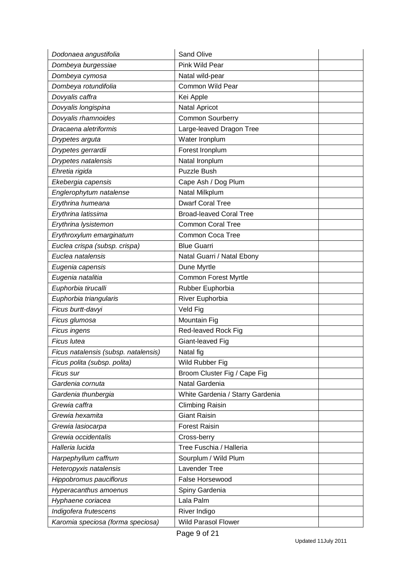| Dodonaea angustifolia                | <b>Sand Olive</b>                |  |
|--------------------------------------|----------------------------------|--|
| Dombeya burgessiae                   | Pink Wild Pear                   |  |
| Dombeya cymosa                       | Natal wild-pear                  |  |
| Dombeya rotundifolia                 | <b>Common Wild Pear</b>          |  |
| Dovyalis caffra                      | Kei Apple                        |  |
| Dovyalis longispina                  | Natal Apricot                    |  |
| Dovyalis rhamnoides                  | <b>Common Sourberry</b>          |  |
| Dracaena aletriformis                | Large-leaved Dragon Tree         |  |
| Drypetes arguta                      | Water Ironplum                   |  |
| Drypetes gerrardii                   | Forest Ironplum                  |  |
| Drypetes natalensis                  | Natal Ironplum                   |  |
| Ehretia rigida                       | <b>Puzzle Bush</b>               |  |
| Ekebergia capensis                   | Cape Ash / Dog Plum              |  |
| Englerophytum natalense              | Natal Milkplum                   |  |
| Erythrina humeana                    | <b>Dwarf Coral Tree</b>          |  |
| Erythrina latissima                  | <b>Broad-leaved Coral Tree</b>   |  |
| Erythrina lysistemon                 | <b>Common Coral Tree</b>         |  |
| Erythroxylum emarginatum             | Common Coca Tree                 |  |
| Euclea crispa (subsp. crispa)        | <b>Blue Guarri</b>               |  |
| Euclea natalensis                    | Natal Guarri / Natal Ebony       |  |
| Eugenia capensis                     | Dune Myrtle                      |  |
| Eugenia natalitia                    | <b>Common Forest Myrtle</b>      |  |
| Euphorbia tirucalli                  | Rubber Euphorbia                 |  |
| Euphorbia triangularis               | River Euphorbia                  |  |
| Ficus burtt-davyi                    | Veld Fig                         |  |
| Ficus glumosa                        | Mountain Fig                     |  |
| Ficus ingens                         | Red-leaved Rock Fig              |  |
| Ficus lutea                          | Giant-leaved Fig                 |  |
| Ficus natalensis (subsp. natalensis) | Natal fig                        |  |
| Ficus polita (subsp. polita)         | Wild Rubber Fig                  |  |
| Ficus sur                            | Broom Cluster Fig / Cape Fig     |  |
| Gardenia cornuta                     | Natal Gardenia                   |  |
| Gardenia thunbergia                  | White Gardenia / Starry Gardenia |  |
| Grewia caffra                        | <b>Climbing Raisin</b>           |  |
| Grewia hexamita                      | <b>Giant Raisin</b>              |  |
| Grewia lasiocarpa                    | <b>Forest Raisin</b>             |  |
| Grewia occidentalis                  | Cross-berry                      |  |
| Halleria lucida                      | Tree Fuschia / Halleria          |  |
| Harpephyllum caffrum                 | Sourplum / Wild Plum             |  |
| Heteropyxis natalensis               | Lavender Tree                    |  |
| Hippobromus pauciflorus              | False Horsewood                  |  |
| Hyperacanthus amoenus                | Spiny Gardenia                   |  |
| Hyphaene coriacea                    | Lala Palm                        |  |
| Indigofera frutescens                | River Indigo                     |  |
| Karomia speciosa (forma speciosa)    | <b>Wild Parasol Flower</b>       |  |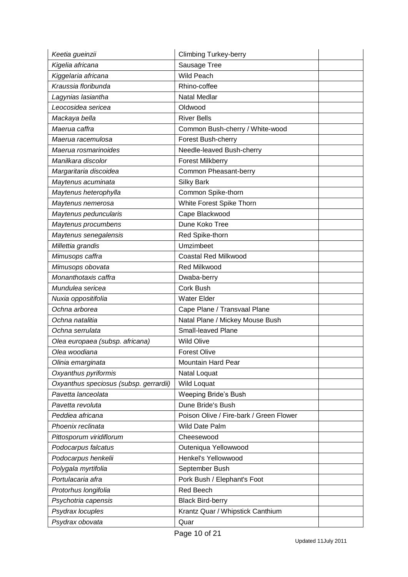| Keetia gueinzii                        | <b>Climbing Turkey-berry</b>            |  |
|----------------------------------------|-----------------------------------------|--|
| Kigelia africana                       | Sausage Tree                            |  |
| Kiggelaria africana                    | <b>Wild Peach</b>                       |  |
| Kraussia floribunda                    | Rhino-coffee                            |  |
| Lagynias lasiantha                     | <b>Natal Medlar</b>                     |  |
| Leocosidea sericea                     | Oldwood                                 |  |
| Mackaya bella                          | <b>River Bells</b>                      |  |
| Maerua caffra                          | Common Bush-cherry / White-wood         |  |
| Maerua racemulosa                      | Forest Bush-cherry                      |  |
| Maerua rosmarinoides                   | Needle-leaved Bush-cherry               |  |
| Manilkara discolor                     | <b>Forest Milkberry</b>                 |  |
| Margaritaria discoidea                 | Common Pheasant-berry                   |  |
| Maytenus acuminata                     | <b>Silky Bark</b>                       |  |
| Maytenus heterophylla                  | Common Spike-thorn                      |  |
| Maytenus nemerosa                      | White Forest Spike Thorn                |  |
| Maytenus peduncularis                  | Cape Blackwood                          |  |
| Maytenus procumbens                    | Dune Koko Tree                          |  |
| Maytenus senegalensis                  | Red Spike-thorn                         |  |
| Millettia grandis                      | Umzimbeet                               |  |
| Mimusops caffra                        | <b>Coastal Red Milkwood</b>             |  |
| Mimusops obovata                       | Red Milkwood                            |  |
| Monanthotaxis caffra                   | Dwaba-berry                             |  |
| Mundulea sericea                       | Cork Bush                               |  |
| Nuxia oppositifolia                    | <b>Water Elder</b>                      |  |
| Ochna arborea                          | Cape Plane / Transvaal Plane            |  |
| Ochna natalitia                        | Natal Plane / Mickey Mouse Bush         |  |
| Ochna serrulata                        | <b>Small-leaved Plane</b>               |  |
| Olea europaea (subsp. africana)        | <b>Wild Olive</b>                       |  |
| Olea woodiana                          | <b>Forest Olive</b>                     |  |
| Olinia emarginata                      | <b>Mountain Hard Pear</b>               |  |
| Oxyanthus pyriformis                   | Natal Loquat                            |  |
| Oxyanthus speciosus (subsp. gerrardii) | <b>Wild Loquat</b>                      |  |
| Pavetta lanceolata                     | <b>Weeping Bride's Bush</b>             |  |
| Pavetta revoluta                       | Dune Bride's Bush                       |  |
| Peddiea africana                       | Poison Olive / Fire-bark / Green Flower |  |
| Phoenix reclinata                      | Wild Date Palm                          |  |
| Pittosporum viridiflorum               | Cheesewood                              |  |
| Podocarpus falcatus                    | Outeniqua Yellowwood                    |  |
| Podocarpus henkelii                    | Henkel's Yellowwood                     |  |
| Polygala myrtifolia                    | September Bush                          |  |
| Portulacaria afra                      | Pork Bush / Elephant's Foot             |  |
| Protorhus longifolia                   | <b>Red Beech</b>                        |  |
| Psychotria capensis                    | <b>Black Bird-berry</b>                 |  |
| Psydrax locuples                       | Krantz Quar / Whipstick Canthium        |  |
| Psydrax obovata                        | Quar                                    |  |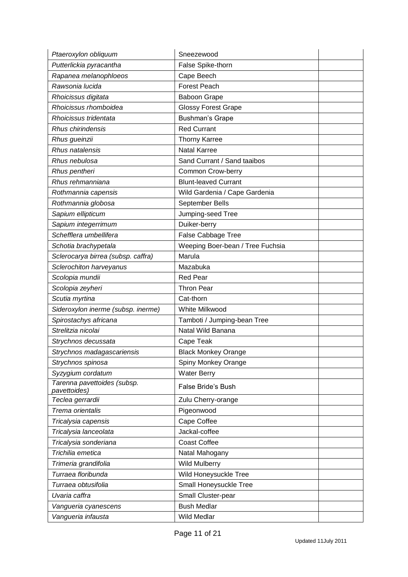| Ptaeroxylon obliquum                        | Sneezewood                       |  |
|---------------------------------------------|----------------------------------|--|
| Putterlickia pyracantha                     | False Spike-thorn                |  |
| Rapanea melanophloeos                       | Cape Beech                       |  |
| Rawsonia lucida                             | Forest Peach                     |  |
| Rhoicissus digitata                         | <b>Baboon Grape</b>              |  |
| Rhoicissus rhomboidea                       | <b>Glossy Forest Grape</b>       |  |
| Rhoicissus tridentata                       | <b>Bushman's Grape</b>           |  |
| Rhus chirindensis                           | <b>Red Currant</b>               |  |
| Rhus gueinzii                               | <b>Thorny Karree</b>             |  |
| Rhus natalensis                             | <b>Natal Karree</b>              |  |
| Rhus nebulosa                               | Sand Currant / Sand taaibos      |  |
| Rhus pentheri                               | Common Crow-berry                |  |
| Rhus rehmanniana                            | <b>Blunt-leaved Currant</b>      |  |
| Rothmannia capensis                         | Wild Gardenia / Cape Gardenia    |  |
| Rothmannia globosa                          | September Bells                  |  |
| Sapium ellipticum                           | Jumping-seed Tree                |  |
| Sapium integerrimum                         | Duiker-berry                     |  |
| Schefflera umbellifera                      | False Cabbage Tree               |  |
| Schotia brachypetala                        | Weeping Boer-bean / Tree Fuchsia |  |
| Sclerocarya birrea (subsp. caffra)          | Marula                           |  |
| Sclerochiton harveyanus                     | Mazabuka                         |  |
| Scolopia mundii                             | <b>Red Pear</b>                  |  |
| Scolopia zeyheri                            | <b>Thron Pear</b>                |  |
| Scutia myrtina                              | Cat-thorn                        |  |
| Sideroxylon inerme (subsp. inerme)          | White Milkwood                   |  |
| Spirostachys africana                       | Tamboti / Jumping-bean Tree      |  |
| Strelitzia nicolai                          | Natal Wild Banana                |  |
| Strychnos decussata                         | Cape Teak                        |  |
| Strychnos madagascariensis                  | <b>Black Monkey Orange</b>       |  |
| Strychnos spinosa                           | Spiny Monkey Orange              |  |
| Syzygium cordatum                           | <b>Water Berry</b>               |  |
| Tarenna pavettoides (subsp.<br>pavettoides) | False Bride's Bush               |  |
| Teclea gerrardii                            | Zulu Cherry-orange               |  |
| Trema orientalis                            | Pigeonwood                       |  |
| Tricalysia capensis                         | Cape Coffee                      |  |
| Tricalysia lanceolata                       | Jackal-coffee                    |  |
| Tricalysia sonderiana                       | <b>Coast Coffee</b>              |  |
| Trichilia emetica                           | Natal Mahogany                   |  |
| Trimeria grandifolia                        | <b>Wild Mulberry</b>             |  |
| Turraea floribunda                          | Wild Honeysuckle Tree            |  |
| Turraea obtusifolia                         | Small Honeysuckle Tree           |  |
| Uvaria caffra                               | Small Cluster-pear               |  |
| Vangueria cyanescens                        | <b>Bush Medlar</b>               |  |
| Vangueria infausta                          | Wild Medlar                      |  |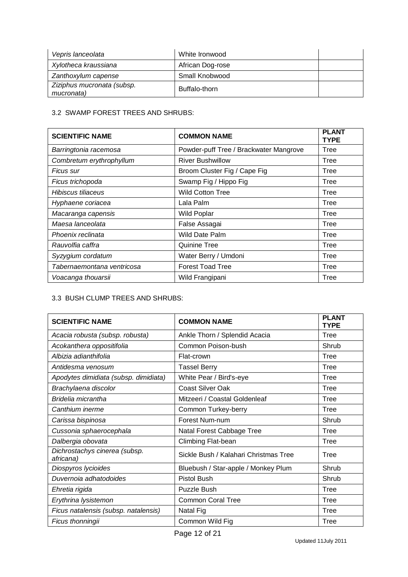| Vepris lanceolata                        | White Ironwood   |  |
|------------------------------------------|------------------|--|
| Xylotheca kraussiana                     | African Dog-rose |  |
| Zanthoxylum capense                      | Small Knobwood   |  |
| Ziziphus mucronata (subsp.<br>mucronata) | Buffalo-thorn    |  |

#### 3.2 SWAMP FOREST TREES AND SHRUBS:

| <b>SCIENTIFIC NAME</b>     | <b>COMMON NAME</b>                     | <b>PLANT</b><br><b>TYPE</b> |
|----------------------------|----------------------------------------|-----------------------------|
| Barringtonia racemosa      | Powder-puff Tree / Brackwater Mangrove | Tree                        |
| Combretum erythrophyllum   | <b>River Bushwillow</b>                | Tree                        |
| Ficus sur                  | Broom Cluster Fig / Cape Fig           | Tree                        |
| Ficus trichopoda           | Swamp Fig / Hippo Fig                  | Tree                        |
| Hibiscus tiliaceus         | <b>Wild Cotton Tree</b>                | Tree                        |
| Hyphaene coriacea          | Lala Palm                              | Tree                        |
| Macaranga capensis         | <b>Wild Poplar</b>                     | Tree                        |
| Maesa lanceolata           | False Assagai                          | Tree                        |
| Phoenix reclinata          | Wild Date Palm                         | Tree                        |
| Rauvolfia caffra           | <b>Quinine Tree</b>                    | Tree                        |
| Syzygium cordatum          | Water Berry / Umdoni                   | Tree                        |
| Tabernaemontana ventricosa | <b>Forest Toad Tree</b>                | Tree                        |
| Voacanga thouarsii         | Wild Frangipani                        | Tree                        |

# 3.3 BUSH CLUMP TREES AND SHRUBS:

| <b>SCIENTIFIC NAME</b>                     | <b>COMMON NAME</b>                    | <b>PLANT</b><br><b>TYPE</b> |
|--------------------------------------------|---------------------------------------|-----------------------------|
| Acacia robusta (subsp. robusta)            | Ankle Thorn / Splendid Acacia         | Tree                        |
| Acokanthera oppositifolia                  | Common Poison-bush                    | Shrub                       |
| Albizia adianthifolia                      | Flat-crown                            | <b>Tree</b>                 |
| Antidesma venosum                          | <b>Tassel Berry</b>                   | <b>Tree</b>                 |
| Apodytes dimidiata (subsp. dimidiata)      | White Pear / Bird's-eye               | Tree                        |
| Brachylaena discolor                       | <b>Coast Silver Oak</b>               | <b>Tree</b>                 |
| Bridelia micrantha                         | Mitzeeri / Coastal Goldenleaf         | Tree                        |
| Canthium inerme                            | Common Turkey-berry                   | Tree                        |
| Carissa bispinosa                          | Forest Num-num                        | Shrub                       |
| Cussonia sphaerocephala                    | Natal Forest Cabbage Tree             | Tree                        |
| Dalbergia obovata                          | Climbing Flat-bean                    | Tree                        |
| Dichrostachys cinerea (subsp.<br>africana) | Sickle Bush / Kalahari Christmas Tree | Tree                        |
| Diospyros lycioides                        | Bluebush / Star-apple / Monkey Plum   | Shrub                       |
| Duvernoia adhatodoides                     | <b>Pistol Bush</b>                    | Shrub                       |
| Ehretia rigida                             | <b>Puzzle Bush</b>                    | Tree                        |
| Erythrina lysistemon                       | <b>Common Coral Tree</b>              | Tree                        |
| Ficus natalensis (subsp. natalensis)       | Natal Fig                             | Tree                        |
| Ficus thonningii                           | Common Wild Fig                       | Tree                        |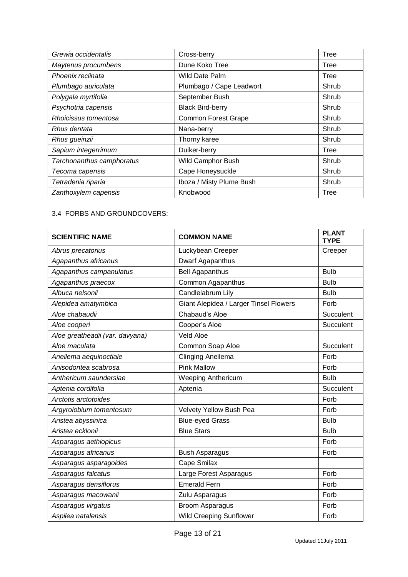| Grewia occidentalis       | Cross-berry                | <b>Tree</b> |
|---------------------------|----------------------------|-------------|
| Maytenus procumbens       | Dune Koko Tree             | Tree        |
| Phoenix reclinata         | Wild Date Palm             | Tree        |
| Plumbago auriculata       | Plumbago / Cape Leadwort   | Shrub       |
| Polygala myrtifolia       | September Bush             | Shrub       |
| Psychotria capensis       | <b>Black Bird-berry</b>    | Shrub       |
| Rhoicissus tomentosa      | <b>Common Forest Grape</b> | Shrub       |
| Rhus dentata              | Nana-berry                 | Shrub       |
| Rhus gueinzii             | Thorny karee               | Shrub       |
| Sapium integerrimum       | Duiker-berry               | Tree        |
| Tarchonanthus camphoratus | Wild Camphor Bush          | Shrub       |
| Tecoma capensis           | Cape Honeysuckle           | Shrub       |
| Tetradenia riparia        | Iboza / Misty Plume Bush   | Shrub       |
| Zanthoxylem capensis      | Knobwood                   | Tree        |

#### 3.4 FORBS AND GROUNDCOVERS:

| <b>SCIENTIFIC NAME</b>          | <b>COMMON NAME</b>                     | <b>PLANT</b><br><b>TYPE</b> |
|---------------------------------|----------------------------------------|-----------------------------|
| Abrus precatorius               | Luckybean Creeper                      | Creeper                     |
| Agapanthus africanus            | Dwarf Agapanthus                       |                             |
| Agapanthus campanulatus         | <b>Bell Agapanthus</b>                 | <b>Bulb</b>                 |
| Agapanthus praecox              | Common Agapanthus                      | <b>Bulb</b>                 |
| Albuca nelsonii                 | Candlelabrum Lily                      | <b>Bulb</b>                 |
| Alepidea amatymbica             | Giant Alepidea / Larger Tinsel Flowers | Forb                        |
| Aloe chabaudii                  | Chabaud's Aloe                         | Succulent                   |
| Aloe cooperi                    | Cooper's Aloe                          | Succulent                   |
| Aloe greatheadii (var. davyana) | <b>Veld Aloe</b>                       |                             |
| Aloe maculata                   | Common Soap Aloe                       | Succulent                   |
| Aneilema aequinoctiale          | Clinging Aneilema                      | Forb                        |
| Anisodontea scabrosa            | <b>Pink Mallow</b>                     | Forb                        |
| Anthericum saundersiae          | <b>Weeping Anthericum</b>              | <b>Bulb</b>                 |
| Aptenia cordifolia              | Aptenia                                | Succulent                   |
| Arctotis arctotoides            |                                        | Forb                        |
| Argyrolobium tomentosum         | Velvety Yellow Bush Pea                | Forb                        |
| Aristea abyssinica              | <b>Blue-eyed Grass</b>                 | <b>Bulb</b>                 |
| Aristea ecklonii                | <b>Blue Stars</b>                      | <b>Bulb</b>                 |
| Asparagus aethiopicus           |                                        | Forb                        |
| Asparagus africanus             | <b>Bush Asparagus</b>                  | Forb                        |
| Asparagus asparagoides          | Cape Smilax                            |                             |
| Asparagus falcatus              | Large Forest Asparagus                 | Forb                        |
| Asparagus densiflorus           | <b>Emerald Fern</b>                    | Forb                        |
| Asparagus macowanii             | Zulu Asparagus                         | Forb                        |
| Asparagus virgatus              | <b>Broom Asparagus</b>                 | Forb                        |
| Aspilea natalensis              | <b>Wild Creeping Sunflower</b>         | Forb                        |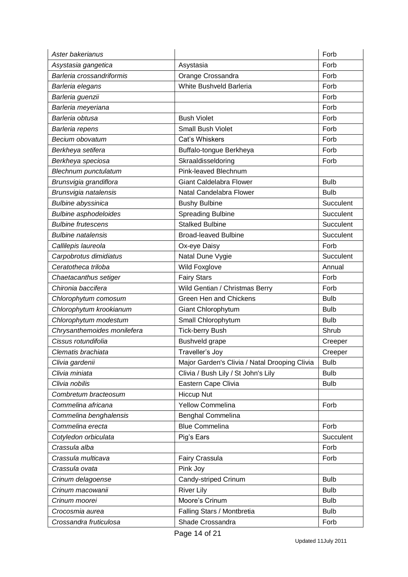| Aster bakerianus             |                                               | Forb        |
|------------------------------|-----------------------------------------------|-------------|
| Asystasia gangetica          | Asystasia                                     | Forb        |
| Barleria crossandriformis    | Orange Crossandra                             | Forb        |
| Barleria elegans             | White Bushveld Barleria                       | Forb        |
| Barleria guenzii             |                                               | Forb        |
| Barleria meyeriana           |                                               | Forb        |
| Barleria obtusa              | <b>Bush Violet</b>                            | Forb        |
| Barleria repens              | <b>Small Bush Violet</b>                      | Forb        |
| Becium obovatum              | Cat's Whiskers                                | Forb        |
| Berkheya setifera            | Buffalo-tongue Berkheya                       | Forb        |
| Berkheya speciosa            | Skraaldisseldoring                            | Forb        |
| Blechnum punctulatum         | Pink-leaved Blechnum                          |             |
| Brunsvigia grandiflora       | <b>Giant Caldelabra Flower</b>                | <b>Bulb</b> |
| Brunsvigia natalensis        | Natal Candelabra Flower                       | <b>Bulb</b> |
| <b>Bulbine abyssinica</b>    | <b>Bushy Bulbine</b>                          | Succulent   |
| <b>Bulbine asphodeloides</b> | <b>Spreading Bulbine</b>                      | Succulent   |
| <b>Bulbine frutescens</b>    | <b>Stalked Bulbine</b>                        | Succulent   |
| <b>Bulbine natalensis</b>    | <b>Broad-leaved Bulbine</b>                   | Succulent   |
| Callilepis laureola          | Ox-eye Daisy                                  | Forb        |
| Carpobrotus dimidiatus       | Natal Dune Vygie                              | Succulent   |
| Ceratotheca triloba          | Wild Foxglove                                 | Annual      |
| Chaetacanthus setiger        | <b>Fairy Stars</b>                            | Forb        |
| Chironia baccifera           | Wild Gentian / Christmas Berry                | Forb        |
| Chlorophytum comosum         | <b>Green Hen and Chickens</b>                 | <b>Bulb</b> |
| Chlorophytum krookianum      | Giant Chlorophytum                            | <b>Bulb</b> |
| Chlorophytum modestum        | Small Chlorophytum                            | <b>Bulb</b> |
| Chrysanthemoides monilefera  | <b>Tick-berry Bush</b>                        | Shrub       |
| Cissus rotundifolia          | Bushveld grape                                | Creeper     |
| Clematis brachiata           | Traveller's Joy                               | Creeper     |
| Clivia gardenii              | Major Garden's Clivia / Natal Drooping Clivia | <b>Bulb</b> |
| Clivia miniata               | Clivia / Bush Lily / St John's Lily           | <b>Bulb</b> |
| Clivia nobilis               | Eastern Cape Clivia                           | <b>Bulb</b> |
| Combretum bracteosum         | <b>Hiccup Nut</b>                             |             |
| Commelina africana           | <b>Yellow Commelina</b>                       | Forb        |
| Commelina benghalensis       | Benghal Commelina                             |             |
| Commelina erecta             | <b>Blue Commelina</b>                         | Forb        |
| Cotyledon orbiculata         | Pig's Ears                                    | Succulent   |
| Crassula alba                |                                               | Forb        |
| Crassula multicava           | Fairy Crassula                                | Forb        |
| Crassula ovata               | Pink Joy                                      |             |
| Crinum delagoense            | Candy-striped Crinum                          | <b>Bulb</b> |
| Crinum macowanii             | <b>River Lily</b>                             | <b>Bulb</b> |
| Crinum moorei                | Moore's Crinum                                | <b>Bulb</b> |
| Crocosmia aurea              | Falling Stars / Montbretia                    | <b>Bulb</b> |
| Crossandra fruticulosa       | Shade Crossandra                              | Forb        |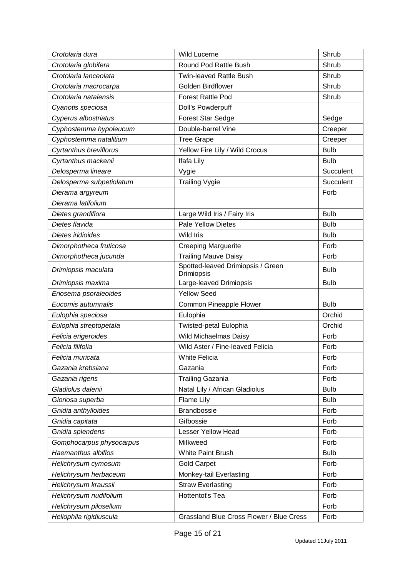| Crotolaria dura          | <b>Wild Lucerne</b>                                    | Shrub       |
|--------------------------|--------------------------------------------------------|-------------|
| Crotolaria globifera     | Round Pod Rattle Bush                                  | Shrub       |
| Crotolaria lanceolata    | <b>Twin-leaved Rattle Bush</b>                         | Shrub       |
| Crotolaria macrocarpa    | <b>Golden Birdflower</b>                               | Shrub       |
| Crotolaria natalensis    | <b>Forest Rattle Pod</b>                               | Shrub       |
| Cyanotis speciosa        | Doll's Powderpuff                                      |             |
| Cyperus albostriatus     | <b>Forest Star Sedge</b>                               | Sedge       |
| Cyphostemma hypoleucum   | Double-barrel Vine                                     | Creeper     |
| Cyphostemma natalitium   | <b>Tree Grape</b>                                      | Creeper     |
| Cyrtanthus breviflorus   | Yellow Fire Lily / Wild Crocus                         | <b>Bulb</b> |
| Cyrtanthus mackenii      | Ifafa Lily                                             | <b>Bulb</b> |
| Delosperma lineare       | Vygie                                                  | Succulent   |
| Delosperma subpetiolatum | <b>Trailing Vygie</b>                                  | Succulent   |
| Dierama argyreum         |                                                        | Forb        |
| Dierama latifolium       |                                                        |             |
| Dietes grandiflora       | Large Wild Iris / Fairy Iris                           | <b>Bulb</b> |
| Dietes flavida           | <b>Pale Yellow Dietes</b>                              | <b>Bulb</b> |
| Dietes iridioides        | <b>Wild Iris</b>                                       | <b>Bulb</b> |
| Dimorphotheca fruticosa  | <b>Creeping Marguerite</b>                             | Forb        |
| Dimorphotheca jucunda    | <b>Trailing Mauve Daisy</b>                            | Forb        |
| Drimiopsis maculata      | Spotted-leaved Drimiopsis / Green<br><b>Drimiopsis</b> | <b>Bulb</b> |
| Drimiopsis maxima        | Large-leaved Drimiopsis                                | <b>Bulb</b> |
| Eriosema psoraleoides    | <b>Yellow Seed</b>                                     |             |
| Eucomis autumnalis       | Common Pineapple Flower                                | <b>Bulb</b> |
| Eulophia speciosa        | Eulophia                                               | Orchid      |
| Eulophia streptopetala   | Twisted-petal Eulophia                                 | Orchid      |
| Felicia erigeroides      | Wild Michaelmas Daisy                                  | Forb        |
| Felicia filifolia        | Wild Aster / Fine-leaved Felicia                       | Forb        |
| Felicia muricata         | White Felicia                                          | Forb        |
| Gazania krebsiana        | Gazania                                                | Forb        |
| Gazania rigens           | <b>Trailing Gazania</b>                                | Forb        |
| Gladiolus dalenii        | Natal Lily / African Gladiolus                         | <b>Bulb</b> |
| Gloriosa superba         | Flame Lily                                             | <b>Bulb</b> |
| Gnidia anthylloides      | Brandbossie                                            | Forb        |
| Gnidia capitata          | Gifbossie                                              | Forb        |
| Gnidia splendens         | <b>Lesser Yellow Head</b>                              | Forb        |
| Gomphocarpus physocarpus | Milkweed                                               | Forb        |
| Haemanthus albiflos      | <b>White Paint Brush</b>                               | <b>Bulb</b> |
| Helichrysum cymosum      | <b>Gold Carpet</b>                                     | Forb        |
| Helichrysum herbaceum    | Monkey-tail Everlasting                                | Forb        |
| Helichrysum kraussii     | <b>Straw Everlasting</b>                               | Forb        |
| Helichrysum nudifolium   | Hottentot's Tea                                        | Forb        |
| Helichrysum pilosellum   |                                                        | Forb        |
| Heliophila rigidiuscula  | Grassland Blue Cross Flower / Blue Cress               | Forb        |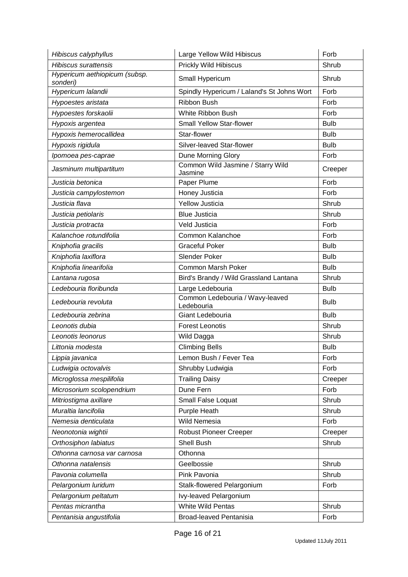| Hibiscus calyphyllus                      | Large Yellow Wild Hibiscus                    | Forb        |
|-------------------------------------------|-----------------------------------------------|-------------|
| <b>Hibiscus surattensis</b>               | <b>Prickly Wild Hibiscus</b>                  | Shrub       |
| Hypericum aethiopicum (subsp.<br>sonderi) | Small Hypericum                               | Shrub       |
| Hypericum lalandii                        | Spindly Hypericum / Laland's St Johns Wort    | Forb        |
| Hypoestes aristata                        | Ribbon Bush                                   | Forb        |
| Hypoestes forskaolii                      | White Ribbon Bush                             | Forb        |
| Hypoxis argentea                          | <b>Small Yellow Star-flower</b>               | <b>Bulb</b> |
| Hypoxis hemerocallidea                    | Star-flower                                   | <b>Bulb</b> |
| Hypoxis rigidula                          | Silver-leaved Star-flower                     | <b>Bulb</b> |
| Ipomoea pes-caprae                        | Dune Morning Glory                            | Forb        |
| Jasminum multipartitum                    | Common Wild Jasmine / Starry Wild<br>Jasmine  | Creeper     |
| Justicia betonica                         | Paper Plume                                   | Forb        |
| Justicia campylostemon                    | Honey Justicia                                | Forb        |
| Justicia flava                            | <b>Yellow Justicia</b>                        | Shrub       |
| Justicia petiolaris                       | <b>Blue Justicia</b>                          | Shrub       |
| Justicia protracta                        | Veld Justicia                                 | Forb        |
| Kalanchoe rotundifolia                    | Common Kalanchoe                              | Forb        |
| Kniphofia gracilis                        | <b>Graceful Poker</b>                         | <b>Bulb</b> |
| Kniphofia laxiflora                       | <b>Slender Poker</b>                          | <b>Bulb</b> |
| Kniphofia linearifolia                    | <b>Common Marsh Poker</b>                     | <b>Bulb</b> |
| Lantana rugosa                            | Bird's Brandy / Wild Grassland Lantana        | Shrub       |
| Ledebouria floribunda                     | Large Ledebouria                              | <b>Bulb</b> |
| Ledebouria revoluta                       | Common Ledebouria / Wavy-leaved<br>Ledebouria | <b>Bulb</b> |
| Ledebouria zebrina                        | Giant Ledebouria                              | <b>Bulb</b> |
| Leonotis dubia                            | <b>Forest Leonotis</b>                        | Shrub       |
| Leonotis leonorus                         | Wild Dagga                                    | Shrub       |
| Littonia modesta                          | <b>Climbing Bells</b>                         | <b>Bulb</b> |
| Lippia javanica                           | Lemon Bush / Fever Tea                        | Forb        |
| Ludwigia octovalvis                       | Shrubby Ludwigia                              | Forb        |
| Microglossa mespilifolia                  | <b>Trailing Daisy</b>                         | Creeper     |
| Microsorium scolopendrium                 | Dune Fern                                     | Forb        |
| Mitriostigma axillare                     | Small False Loquat                            | Shrub       |
| Muraltia lancifolia                       | Purple Heath                                  | Shrub       |
| Nemesia denticulata                       | Wild Nemesia                                  | Forb        |
| Neonotonia wightii                        | <b>Robust Pioneer Creeper</b>                 | Creeper     |
| Orthosiphon labiatus                      | <b>Shell Bush</b>                             | Shrub       |
| Othonna carnosa var carnosa               | Othonna                                       |             |
| Othonna natalensis                        | Geelbossie                                    | Shrub       |
| Pavonia columella                         | Pink Pavonia                                  | Shrub       |
| Pelargonium luridum                       | Stalk-flowered Pelargonium                    | Forb        |
| Pelargonium peltatum                      | Ivy-leaved Pelargonium                        |             |
| Pentas micrantha                          | <b>White Wild Pentas</b>                      | Shrub       |
| Pentanisia angustifolia                   | Broad-leaved Pentanisia                       | Forb        |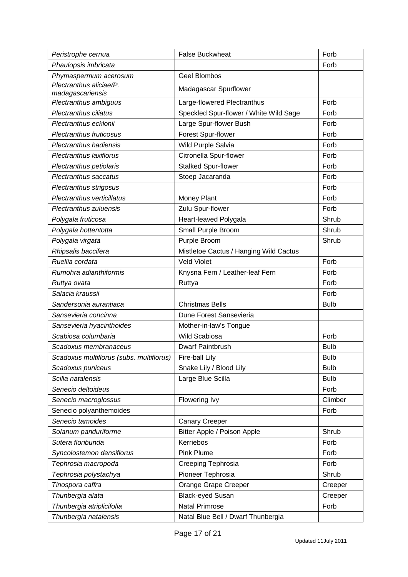| Peristrophe cernua                          | <b>False Buckwheat</b>                 | Forb        |
|---------------------------------------------|----------------------------------------|-------------|
| Phaulopsis imbricata                        |                                        | Forb        |
| Phymaspermum acerosum                       | <b>Geel Blombos</b>                    |             |
| Plectranthus aliciae/P.<br>madagascariensis | Madagascar Spurflower                  |             |
| Plectranthus ambiguus                       | Large-flowered Plectranthus            | Forb        |
| Plectranthus ciliatus                       | Speckled Spur-flower / White Wild Sage | Forb        |
| Plectranthus ecklonii                       | Large Spur-flower Bush                 | Forb        |
| <b>Plectranthus fruticosus</b>              | Forest Spur-flower                     | Forb        |
| Plectranthus hadiensis                      | Wild Purple Salvia                     | Forb        |
| Plectranthus laxiflorus                     | Citronella Spur-flower                 | Forb        |
| Plectranthus petiolaris                     | <b>Stalked Spur-flower</b>             | Forb        |
| Plectranthus saccatus                       | Stoep Jacaranda                        | Forb        |
| Plectranthus strigosus                      |                                        | Forb        |
| Plectranthus verticillatus                  | Money Plant                            | Forb        |
| Plectranthus zuluensis                      | Zulu Spur-flower                       | Forb        |
| Polygala fruticosa                          | Heart-leaved Polygala                  | Shrub       |
| Polygala hottentotta                        | Small Purple Broom                     | Shrub       |
| Polygala virgata                            | Purple Broom                           | Shrub       |
| Rhipsalis baccifera                         | Mistletoe Cactus / Hanging Wild Cactus |             |
| Ruellia cordata                             | <b>Veld Violet</b>                     | Forb        |
| Rumohra adianthiformis                      | Knysna Fern / Leather-leaf Fern        | Forb        |
| Ruttya ovata                                | Ruttya                                 | Forb        |
| Salacia kraussii                            |                                        | Forb        |
| Sandersonia aurantiaca                      | <b>Christmas Bells</b>                 | <b>Bulb</b> |
| Sansevieria concinna                        | Dune Forest Sansevieria                |             |
| Sansevieria hyacinthoides                   | Mother-in-law's Tongue                 |             |
| Scabiosa columbaria                         | Wild Scabiosa                          | Forb        |
| Scadoxus membranaceus                       | <b>Dwarf Paintbrush</b>                | <b>Bulb</b> |
| Scadoxus multiflorus (subs. multiflorus)    | Fire-ball Lily                         | <b>Bulb</b> |
| Scadoxus puniceus                           | Snake Lily / Blood Lily                | <b>Bulb</b> |
| Scilla natalensis                           | Large Blue Scilla                      | <b>Bulb</b> |
| Senecio deltoideus                          |                                        | Forb        |
| Senecio macroglossus                        | Flowering Ivy                          | Climber     |
| Senecio polyanthemoides                     |                                        | Forb        |
| Senecio tamoides                            | <b>Canary Creeper</b>                  |             |
| Solanum panduriforme                        | Bitter Apple / Poison Apple            | Shrub       |
| Sutera floribunda                           | Kerriebos                              | Forb        |
| Syncolostemon densiflorus                   | <b>Pink Plume</b>                      | Forb        |
| Tephrosia macropoda                         | Creeping Tephrosia                     | Forb        |
| Tephrosia polystachya                       | Pioneer Tephrosia                      | Shrub       |
| Tinospora caffra                            | Orange Grape Creeper                   | Creeper     |
| Thunbergia alata                            | <b>Black-eyed Susan</b>                | Creeper     |
| Thunbergia atriplicifolia                   | <b>Natal Primrose</b>                  | Forb        |
| Thunbergia natalensis                       | Natal Blue Bell / Dwarf Thunbergia     |             |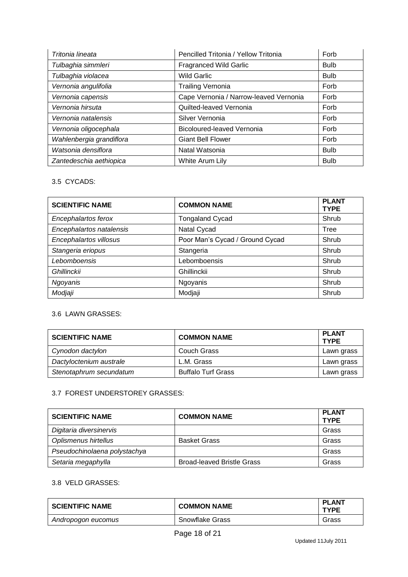| Tritonia lineata         | Pencilled Tritonia / Yellow Tritonia   | Forb        |
|--------------------------|----------------------------------------|-------------|
| Tulbaghia simmleri       | <b>Fragranced Wild Garlic</b>          | <b>Bulb</b> |
| Tulbaghia violacea       | <b>Wild Garlic</b>                     | <b>Bulb</b> |
| Vernonia angulifolia     | <b>Trailing Vernonia</b>               | Forb        |
| Vernonia capensis        | Cape Vernonia / Narrow-leaved Vernonia | Forb        |
| Vernonia hirsuta         | Quilted-leaved Vernonia                | Forb        |
| Vernonia natalensis      | Silver Vernonia                        | Forb        |
| Vernonia oligocephala    | Bicoloured-leaved Vernonia             | Forb        |
| Wahlenbergia grandiflora | <b>Giant Bell Flower</b>               | Forb        |
| Watsonia densiflora      | Natal Watsonia                         | <b>Bulb</b> |
| Zantedeschia aethiopica  | White Arum Lily                        | <b>Bulb</b> |

### 3.5 CYCADS:

| <b>SCIENTIFIC NAME</b>   | <b>COMMON NAME</b>              | <b>PLANT</b><br><b>TYPE</b> |
|--------------------------|---------------------------------|-----------------------------|
| Encephalartos ferox      | <b>Tongaland Cycad</b>          | Shrub                       |
| Encephalartos natalensis | Natal Cycad                     | Tree                        |
| Encephalartos villosus   | Poor Man's Cycad / Ground Cycad | Shrub                       |
| Stangeria eriopus        | Stangeria                       | Shrub                       |
| Lebomboensis             | Lebomboensis                    | Shrub                       |
| <b>Ghillinckii</b>       | Ghillinckii                     | Shrub                       |
| Ngoyanis                 | Ngoyanis                        | Shrub                       |
| Modjaji                  | Modjaji                         | Shrub                       |

# 3.6 LAWN GRASSES:

| <b>SCIENTIFIC NAME</b>  | <b>COMMON NAME</b>        | <b>PLANT</b><br><b>TYPE</b> |
|-------------------------|---------------------------|-----------------------------|
| Cynodon dactylon        | Couch Grass               | Lawn grass                  |
| Dactyloctenium australe | L.M. Grass                | Lawn grass                  |
| Stenotaphrum secundatum | <b>Buffalo Turf Grass</b> | Lawn grass                  |

### 3.7 FOREST UNDERSTOREY GRASSES:

| <b>SCIENTIFIC NAME</b>       | <b>COMMON NAME</b>                | <b>PLANT</b><br><b>TYPE</b> |
|------------------------------|-----------------------------------|-----------------------------|
| Digitaria diversinervis      |                                   | Grass                       |
| Oplismenus hirtellus         | <b>Basket Grass</b>               | Grass                       |
| Pseudochinolaena polystachya |                                   | Grass                       |
| Setaria megaphylla           | <b>Broad-leaved Bristle Grass</b> | Grass                       |

## 3.8 VELD GRASSES:

| <b>SCIENTIFIC NAME</b> | <b>COMMON NAME</b> | <b>PLANT</b><br><b>TYPE</b> |
|------------------------|--------------------|-----------------------------|
| Andropogon eucomus     | Snowflake Grass    | Grass                       |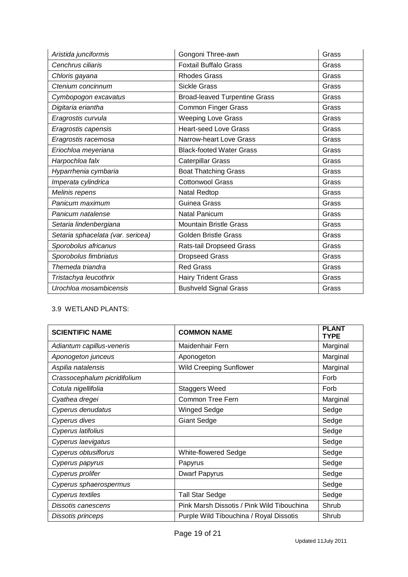| Aristida junciformis              | Gongoni Three-awn                    | Grass |
|-----------------------------------|--------------------------------------|-------|
| Cenchrus ciliaris                 | <b>Foxtail Buffalo Grass</b>         | Grass |
| Chloris gayana                    | <b>Rhodes Grass</b>                  | Grass |
| Ctenium concinnum                 | <b>Sickle Grass</b>                  | Grass |
| Cymbopogon excavatus              | <b>Broad-leaved Turpentine Grass</b> | Grass |
| Digitaria eriantha                | <b>Common Finger Grass</b>           | Grass |
| Eragrostis curvula                | <b>Weeping Love Grass</b>            | Grass |
| Eragrostis capensis               | <b>Heart-seed Love Grass</b>         | Grass |
| Eragrostis racemosa               | Narrow-heart Love Grass              | Grass |
| Eriochloa meyeriana               | <b>Black-footed Water Grass</b>      | Grass |
| Harpochloa falx                   | Caterpillar Grass                    | Grass |
| Hyparrhenia cymbaria              | <b>Boat Thatching Grass</b>          | Grass |
| Imperata cylindrica               | <b>Cottonwool Grass</b>              | Grass |
| Melinis repens                    | Natal Redtop                         | Grass |
| Panicum maximum                   | Guinea Grass                         | Grass |
| Panicum natalense                 | <b>Natal Panicum</b>                 | Grass |
| Setaria lindenbergiana            | <b>Mountain Bristle Grass</b>        | Grass |
| Setaria sphacelata (var. sericea) | <b>Golden Bristle Grass</b>          | Grass |
| Sporobolus africanus              | Rats-tail Dropseed Grass             | Grass |
| Sporobolus fimbriatus             | <b>Dropseed Grass</b>                | Grass |
| Themeda triandra                  | <b>Red Grass</b>                     | Grass |
| Tristachya leucothrix             | <b>Hairy Trident Grass</b>           | Grass |
| Urochloa mosambicensis            | <b>Bushveld Signal Grass</b>         | Grass |

# 3.9 WETLAND PLANTS:

| <b>SCIENTIFIC NAME</b>       | <b>COMMON NAME</b>                         | <b>PLANT</b><br><b>TYPE</b> |
|------------------------------|--------------------------------------------|-----------------------------|
| Adiantum capillus-veneris    | Maidenhair Fern                            | Marginal                    |
| Aponogeton junceus           | Aponogeton                                 | Marginal                    |
| Aspilia natalensis           | <b>Wild Creeping Sunflower</b>             | Marginal                    |
| Crassocephalum picridifolium |                                            | Forb                        |
| Cotula nigellifolia          | <b>Staggers Weed</b>                       | Forb                        |
| Cyathea dregei               | Common Tree Fern                           | Marginal                    |
| Cyperus denudatus            | <b>Winged Sedge</b>                        | Sedge                       |
| Cyperus dives                | <b>Giant Sedge</b>                         | Sedge                       |
| Cyperus latifolius           |                                            | Sedge                       |
| Cyperus laevigatus           |                                            | Sedge                       |
| Cyperus obtusiflorus         | <b>White-flowered Sedge</b>                | Sedge                       |
| Cyperus papyrus              | Papyrus                                    | Sedge                       |
| Cyperus prolifer             | <b>Dwarf Papyrus</b>                       | Sedge                       |
| Cyperus sphaerospermus       |                                            | Sedge                       |
| <b>Cyperus textiles</b>      | <b>Tall Star Sedge</b>                     | Sedge                       |
| Dissotis canescens           | Pink Marsh Dissotis / Pink Wild Tibouchina | Shrub                       |
| Dissotis princeps            | Purple Wild Tibouchina / Royal Dissotis    | Shrub                       |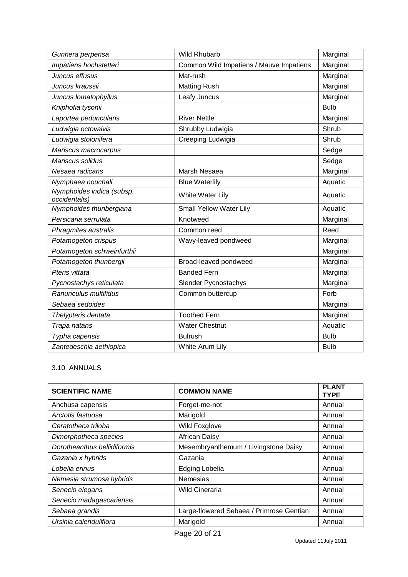| Gunnera perpensa                           | <b>Wild Rhubarb</b>                     | Marginal    |
|--------------------------------------------|-----------------------------------------|-------------|
| Impatiens hochstetteri                     | Common Wild Impatiens / Mauve Impatiens | Marginal    |
| Juncus effusus                             | Mat-rush                                | Marginal    |
| Juncus kraussii                            | <b>Matting Rush</b>                     | Marginal    |
| Juncus lomatophyllus                       | Leafy Juncus                            | Marginal    |
| Kniphofia tysonii                          |                                         | <b>Bulb</b> |
| Laportea peduncularis                      | <b>River Nettle</b>                     | Marginal    |
| Ludwigia octovalvis                        | Shrubby Ludwigia                        | Shrub       |
| Ludwigia stolonifera                       | Creeping Ludwigia                       | Shrub       |
| Mariscus macrocarpus                       |                                         | Sedge       |
| Mariscus solidus                           |                                         | Sedge       |
| Nesaea radicans                            | Marsh Nesaea                            | Marginal    |
| Nymphaea nouchali                          | <b>Blue Waterlily</b>                   | Aquatic     |
| Nymphoides indica (subsp.<br>occidentalis) | White Water Lily                        | Aquatic     |
| Nymphoides thunbergiana                    | Small Yellow Water Lily                 | Aquatic     |
| Persicaria serrulata                       | Knotweed                                | Marginal    |
| Phragmites australis                       | Common reed                             | Reed        |
| Potamogeton crispus                        | Wavy-leaved pondweed                    | Marginal    |
| Potamogeton schweinfurthii                 |                                         | Marginal    |
| Potamogeton thunbergii                     | Broad-leaved pondweed                   | Marginal    |
| Pteris vittata                             | <b>Banded Fern</b>                      | Marginal    |
| Pycnostachys reticulata                    | Slender Pycnostachys                    | Marginal    |
| Ranunculus multifidus                      | Common buttercup                        | Forb        |
| Sebaea sedoides                            |                                         | Marginal    |
| Thelypteris dentata                        | <b>Toothed Fern</b>                     | Marginal    |
| Trapa natans                               | <b>Water Chestnut</b>                   | Aquatic     |
| Typha capensis                             | <b>Bulrush</b>                          | <b>Bulb</b> |
| Zantedeschia aethiopica                    | White Arum Lily                         | <b>Bulb</b> |

# 3.10 ANNUALS

| <b>SCIENTIFIC NAME</b>      | <b>COMMON NAME</b>                       | <b>PLANT</b><br><b>TYPE</b> |
|-----------------------------|------------------------------------------|-----------------------------|
| Anchusa capensis            | Forget-me-not                            | Annual                      |
| Arctotis fastuosa           | Marigold                                 | Annual                      |
| Ceratotheca triloba         | <b>Wild Foxglove</b>                     | Annual                      |
| Dimorphotheca species       | <b>African Daisy</b>                     | Annual                      |
| Dorotheanthus bellidiformis | Mesembryanthemum / Livingstone Daisy     | Annual                      |
| Gazania x hybrids           | Gazania                                  | Annual                      |
| Lobelia erinus              | Edging Lobelia                           | Annual                      |
| Nemesia strumosa hybrids    | Nemesias                                 | Annual                      |
| Senecio elegans             | <b>Wild Cineraria</b>                    | Annual                      |
| Senecio madagascariensis    |                                          | Annual                      |
| Sebaea grandis              | Large-flowered Sebaea / Primrose Gentian | Annual                      |
| Ursinia calenduliflora      | Marigold                                 | Annual                      |